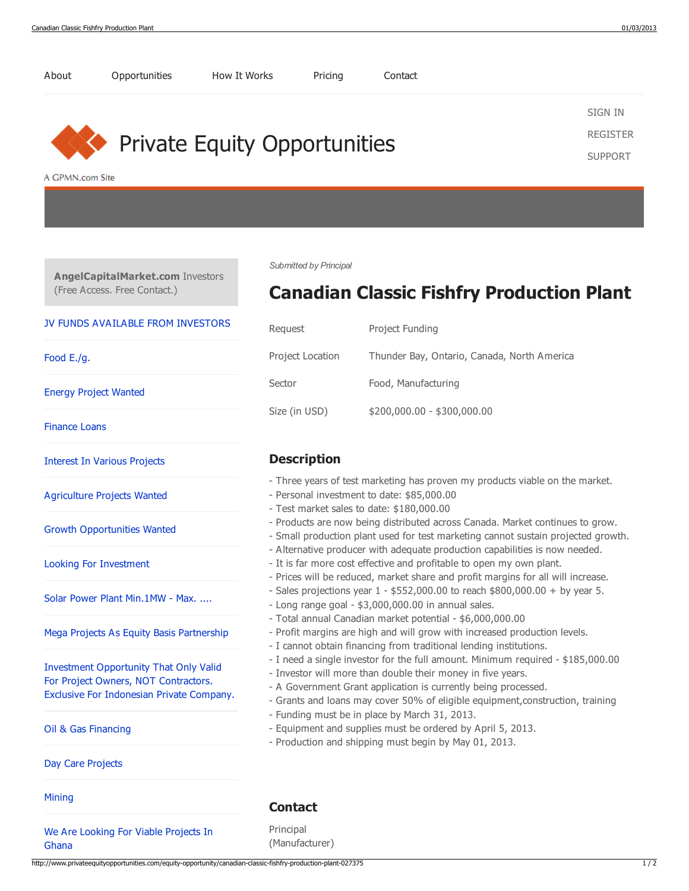

[About](http://www.privateequityopportunities.com/about) [Opportunities](http://www.privateequityopportunities.com/) How It [Works](http://www.privateequityopportunities.com/how-it-works) [Pricing](http://www.privateequityopportunities.com/pricing) [Contact](http://www.privateequityopportunities.com/contact-us)

## http://www.privateequityopportunities.com/equity-opportunity/canadian-classic-fishfry-production-plant-027375 1 / 2

[SIGN](http://www.m1server.net/?source=9) IN [REGISTER](http://www.privateequityopportunities.com/register)

[SUPPORT](http://www.privateequityopportunities.com/contact-us)

- Three years of test marketing has proven my products viable on the market.
- Products are now being distributed across Canada. Market continues to grow.
- Small production plant used for test marketing cannot sustain projected growth.
- Alternative producer with adequate production capabilities is now needed.
- It is far more cost effective and profitable to open my own plant.
- Prices will be reduced, market share and profit margins for all will increase.
- Sales projections year  $1 $552,000.00$  to reach  $$800,000.00 + by year 5$ .
- Profit margins are high and will grow with increased production levels.
- I cannot obtain financing from traditional lending institutions.
- I need a single investor for the full amount. Minimum required \$185,000.00
- 
- A Government Grant application is currently being processed.
- Grants and loans may cover 50% of eligible equipment,construction, training
- Equipment and supplies must be ordered by April 5, 2013.

Principal (Manufacturer)

[Food](http://www.angelcapitalmarket.com/investor/food-e-g-027359) E./g.

Energy Project [Wanted](http://www.angelcapitalmarket.com/investor/energy-project-wanted-027350)

[Finance](http://www.angelcapitalmarket.com/investor/finance-loans-027178) Loans

[Agriculture](http://www.angelcapitalmarket.com/investor/agriculture-projects-wanted-027104) Projects Wanted

Growth [Opportunities](http://www.angelcapitalmarket.com/investor/growth-opportunities-wanted-027081) Wanted

Looking For [Investment](http://www.angelcapitalmarket.com/investor/looking-for-investment-027005)

Investment Opportunity That Only Valid For Project Owners, NOT [Contractors.](http://www.angelcapitalmarket.com/investor/investment-opportunity-that-only-valid-for-project-owners-not-contractors-026922)

Oil & Gas [Financing](http://www.angelcapitalmarket.com/investor/oil-and-gas-financing-026891)

Day Care [Projects](http://www.angelcapitalmarket.com/investor/day-care-projects-026872)

Ghana